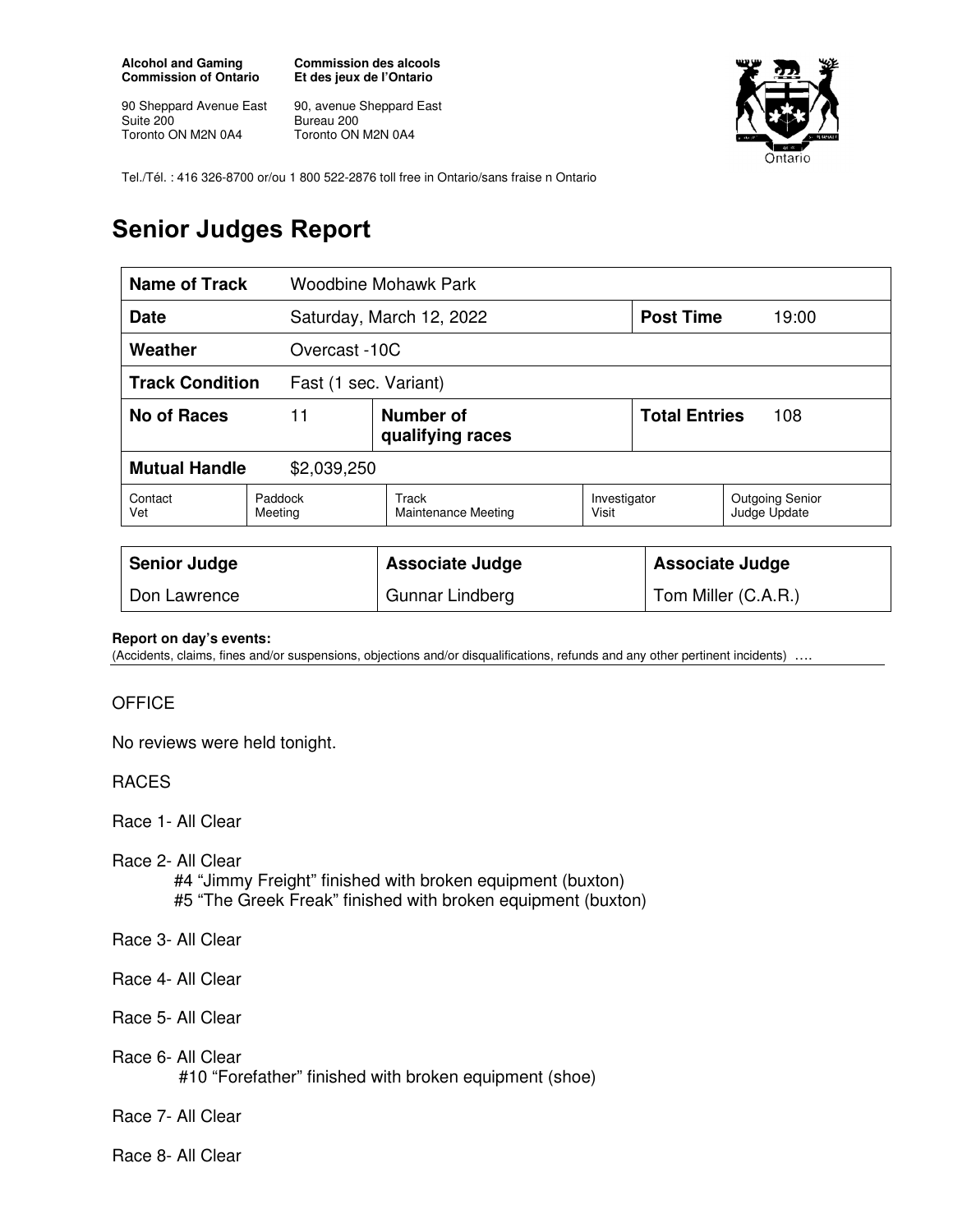**Alcohol and Gaming Commission of Ontario** 

90 Sheppard Avenue East Suite 200 Toronto ON M2N 0A4

**Commission des alcools Et des jeux de l'Ontario** 

90, avenue Sheppard East Bureau 200 Toronto ON M2N 0A4



Tel./Tél. : 416 326-8700 or/ou 1 800 522-2876 toll free in Ontario/sans fraise n Ontario

## **Senior Judges Report**

| Name of Track                                   |                    | Woodbine Mohawk Park                |                       |                             |                                        |
|-------------------------------------------------|--------------------|-------------------------------------|-----------------------|-----------------------------|----------------------------------------|
| <b>Date</b>                                     |                    | Saturday, March 12, 2022            |                       | <b>Post Time</b>            | 19:00                                  |
| Weather<br>Overcast -10C                        |                    |                                     |                       |                             |                                        |
| <b>Track Condition</b><br>Fast (1 sec. Variant) |                    |                                     |                       |                             |                                        |
| No of Races<br>11                               |                    | Number of<br>qualifying races       |                       | <b>Total Entries</b><br>108 |                                        |
| <b>Mutual Handle</b><br>\$2,039,250             |                    |                                     |                       |                             |                                        |
| Contact<br>Vet                                  | Paddock<br>Meeting | Track<br><b>Maintenance Meeting</b> | Investigator<br>Visit |                             | <b>Outgoing Senior</b><br>Judge Update |
|                                                 |                    |                                     |                       |                             |                                        |
| <b>Senior Judge</b>                             |                    | <b>Associate Judge</b>              |                       | <b>Associate Judge</b>      |                                        |
| Don Lawrence                                    |                    | Gunnar Lindberg                     |                       | Tom Miller (C.A.R.)         |                                        |

## **Report on day's events:**

(Accidents, claims, fines and/or suspensions, objections and/or disqualifications, refunds and any other pertinent incidents) ….

## **OFFICE**

No reviews were held tonight.

RACES

Race 1- All Clear

Race 2- All Clear

#4 "Jimmy Freight" finished with broken equipment (buxton)

- #5 "The Greek Freak" finished with broken equipment (buxton)
- Race 3- All Clear
- Race 4- All Clear
- Race 5- All Clear
- Race 6- All Clear #10 "Forefather" finished with broken equipment (shoe)

Race 7- All Clear

Race 8- All Clear